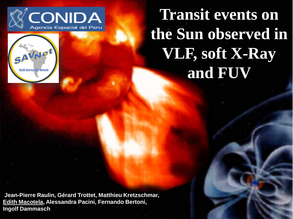



**Transit events on the Sun observed in VLF, soft X-Ray and FUV**

**Jean-Pierre Raulin, Gérard Trottet, Matthieu Kretzschmar, Edith Macotela, Alessandra Pacini, Fernando Bertoni, Ingolf Dammasch**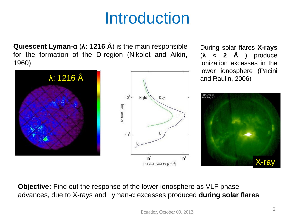## Introduction

**Quiescent Lyman-α** (**λ: 1216 Å**) is the main responsible for the formation of the D-region (Nikolet and Aikin, 1960)



During solar flares **X-rays** (**λ < 2 Å** ) produce ionization excesses in the lower ionosphere (Pacini



**Objective:** Find out the response of the lower ionosphere as VLF phase advances, due to X-rays and Lyman-α excesses produced **during solar flares**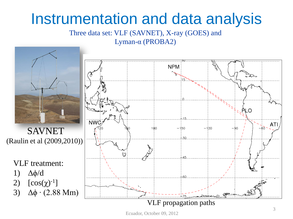#### Instrumentation and data analysis

Three data set: VLF (SAVNET), X-ray (GOES) and Lyman-α (PROBA2)



Ecuador, October 09, 2012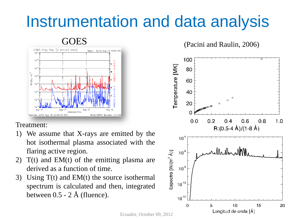# Instrumentation and data analysis



#### Treatment:

- 1) We assume that X-rays are emitted by the hot isothermal plasma associated with the flaring active region.
- 2)  $T(t)$  and  $EM(t)$  of the emitting plasma are derived as a function of time.
- 3) Using  $T(t)$  and  $EM(t)$  the source isothermal spectrum is calculated and then, integrated between  $0.5 - 2 \text{ Å}$  (fluence).



Ecuador, October 09, 2012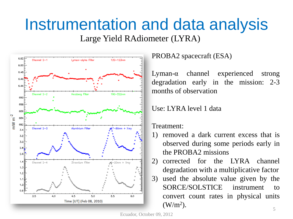# Instrumentation and data analysis

Large Yield RAdiometer (LYRA)



PROBA2 spacecraft (ESA)

Lyman-α channel experienced strong degradation early in the mission: 2-3 months of observation

Use: LYRA level 1 data

Treatment:

1) removed a dark current excess that is observed during some periods early in the PROBA2 missions

2) corrected for the LYRA channel degradation with a multiplicative factor 3) used the absolute value given by the SORCE/SOLSTICE instrument to convert count rates in physical units  $(W/m<sup>2</sup>)$ .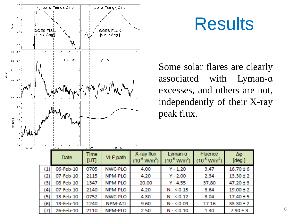

 $N/m<sup>2</sup>$ 

## **Results**

Some solar flares are clearly associated with Lyman-α excesses, and others are not, independently of their X-ray

Fluence

3.47

2.34

37.80

3.64

3.04

17.16

Δφ

 $[deg.]$ 

 $16.70 \pm 6$ 

 $13.30 \pm 2$ 

 $47.20 \pm 3$ 

 $19.00 \pm 2$ 

 $17.40 \pm 5$ 

 $33.30 \pm 2$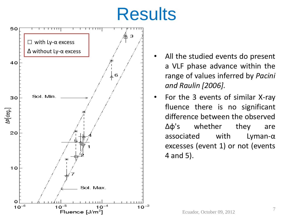# **Results**



- All the studied events do present a VLF phase advance within the range of values inferred by *Pacini and Raulin [2006].*
- For the 3 events of similar X-ray fluence there is no significant difference between the observed Δφ's whether they are associated with Lyman-α excesses (event 1) or not (events 4 and 5).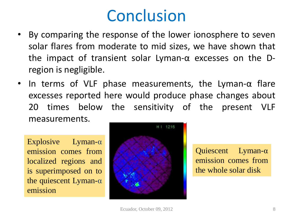### Conclusion

- By comparing the response of the lower ionosphere to seven solar flares from moderate to mid sizes, we have shown that the impact of transient solar Lyman- $\alpha$  excesses on the Dregion is negligible.
- In terms of VLF phase measurements, the Lyman-α flare excesses reported here would produce phase changes about 20 times below the sensitivity of the present VLF measurements.

Explosive Lyman-α emission comes from localized regions and is superimposed on to the quiescent Lyman-α emission



Quiescent Lyman-α emission comes from the whole solar disk